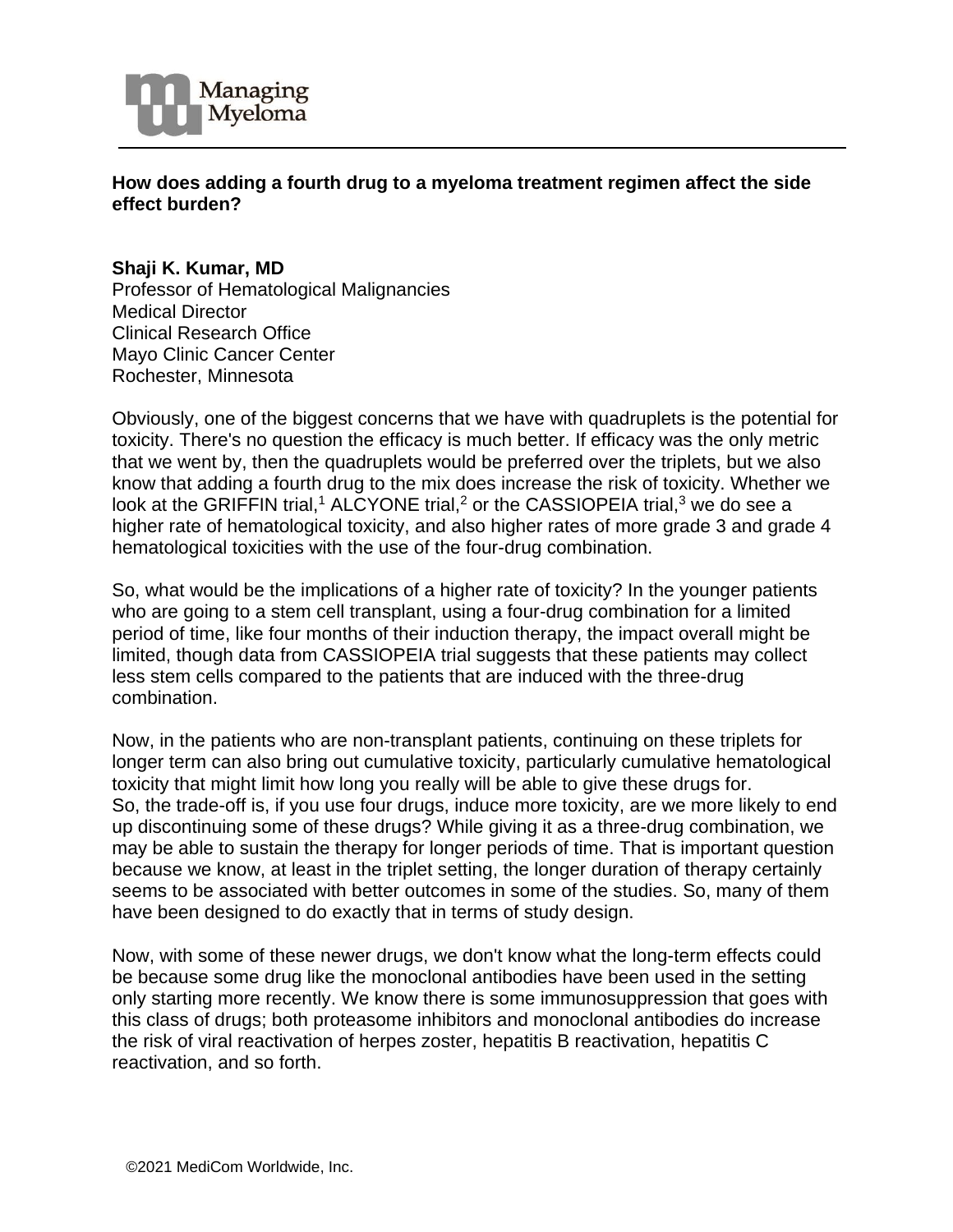

## **How does adding a fourth drug to a myeloma treatment regimen affect the side effect burden?**

## **Shaji K. Kumar, MD**

Professor of Hematological Malignancies Medical Director Clinical Research Office Mayo Clinic Cancer Center Rochester, Minnesota

Obviously, one of the biggest concerns that we have with quadruplets is the potential for toxicity. There's no question the efficacy is much better. If efficacy was the only metric that we went by, then the quadruplets would be preferred over the triplets, but we also know that adding a fourth drug to the mix does increase the risk of toxicity. Whether we look at the GRIFFIN trial,<sup>1</sup> ALCYONE trial,<sup>2</sup> or the CASSIOPEIA trial,<sup>3</sup> we do see a higher rate of hematological toxicity, and also higher rates of more grade 3 and grade 4 hematological toxicities with the use of the four-drug combination.

So, what would be the implications of a higher rate of toxicity? In the younger patients who are going to a stem cell transplant, using a four-drug combination for a limited period of time, like four months of their induction therapy, the impact overall might be limited, though data from CASSIOPEIA trial suggests that these patients may collect less stem cells compared to the patients that are induced with the three-drug combination.

Now, in the patients who are non-transplant patients, continuing on these triplets for longer term can also bring out cumulative toxicity, particularly cumulative hematological toxicity that might limit how long you really will be able to give these drugs for. So, the trade-off is, if you use four drugs, induce more toxicity, are we more likely to end up discontinuing some of these drugs? While giving it as a three-drug combination, we may be able to sustain the therapy for longer periods of time. That is important question because we know, at least in the triplet setting, the longer duration of therapy certainly seems to be associated with better outcomes in some of the studies. So, many of them have been designed to do exactly that in terms of study design.

Now, with some of these newer drugs, we don't know what the long-term effects could be because some drug like the monoclonal antibodies have been used in the setting only starting more recently. We know there is some immunosuppression that goes with this class of drugs; both proteasome inhibitors and monoclonal antibodies do increase the risk of viral reactivation of herpes zoster, hepatitis B reactivation, hepatitis C reactivation, and so forth.